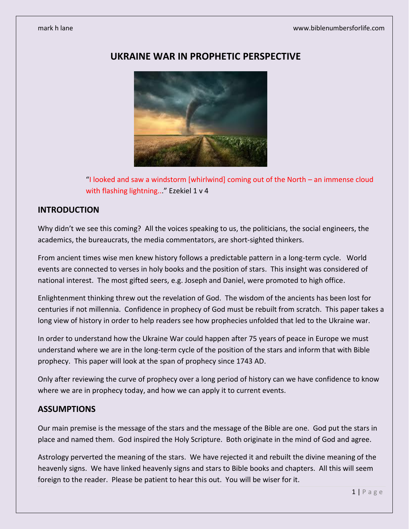

# **UKRAINE WAR IN PROPHETIC PERSPECTIVE**

"I looked and saw a windstorm [whirlwind] coming out of the North – an immense cloud with flashing lightning..." Ezekiel 1 v 4

## **INTRODUCTION**

Why didn't we see this coming? All the voices speaking to us, the politicians, the social engineers, the academics, the bureaucrats, the media commentators, are short-sighted thinkers.

From ancient times wise men knew history follows a predictable pattern in a long-term cycle. World events are connected to verses in holy books and the position of stars. This insight was considered of national interest. The most gifted seers, e.g. Joseph and Daniel, were promoted to high office.

Enlightenment thinking threw out the revelation of God. The wisdom of the ancients has been lost for centuries if not millennia. Confidence in prophecy of God must be rebuilt from scratch. This paper takes a long view of history in order to help readers see how prophecies unfolded that led to the Ukraine war.

In order to understand how the Ukraine War could happen after 75 years of peace in Europe we must understand where we are in the long-term cycle of the position of the stars and inform that with Bible prophecy. This paper will look at the span of prophecy since 1743 AD.

Only after reviewing the curve of prophecy over a long period of history can we have confidence to know where we are in prophecy today, and how we can apply it to current events.

## **ASSUMPTIONS**

Our main premise is the message of the stars and the message of the Bible are one. God put the stars in place and named them. God inspired the Holy Scripture. Both originate in the mind of God and agree.

Astrology perverted the meaning of the stars. We have rejected it and rebuilt the divine meaning of the heavenly signs. We have linked heavenly signs and stars to Bible books and chapters. All this will seem foreign to the reader. Please be patient to hear this out. You will be wiser for it.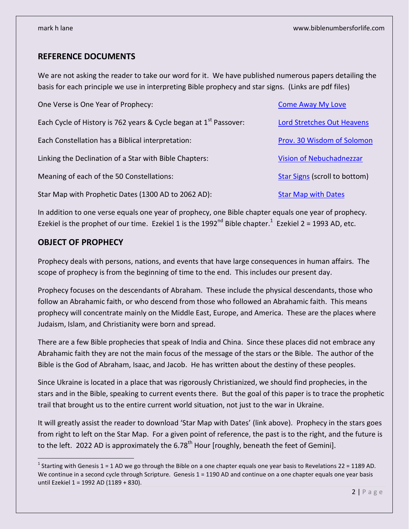## **REFERENCE DOCUMENTS**

We are not asking the reader to take our word for it. We have published numerous papers detailing the basis for each principle we use in interpreting Bible prophecy and star signs. (Links are pdf files)

| One Verse is One Year of Prophecy:                                            | <b>Come Away My Love</b>             |
|-------------------------------------------------------------------------------|--------------------------------------|
| Each Cycle of History is 762 years & Cycle began at 1 <sup>st</sup> Passover: | <b>Lord Stretches Out Heavens</b>    |
| Each Constellation has a Biblical interpretation:                             | Prov. 30 Wisdom of Solomon           |
| Linking the Declination of a Star with Bible Chapters:                        | Vision of Nebuchadnezzar             |
| Meaning of each of the 50 Constellations:                                     | <b>Star Signs (scroll to bottom)</b> |
| Star Map with Prophetic Dates (1300 AD to 2062 AD):                           | <b>Star Map with Dates</b>           |

In addition to one verse equals one year of prophecy, one Bible chapter equals one year of prophecy. Ezekiel is the prophet of our time. Ezekiel 1 is the 1992<sup>nd</sup> Bible chapter.<sup>1</sup> Ezekiel 2 = 1993 AD, etc.

## **OBJECT OF PROPHECY**

 $\overline{a}$ 

Prophecy deals with persons, nations, and events that have large consequences in human affairs. The scope of prophecy is from the beginning of time to the end. This includes our present day.

Prophecy focuses on the descendants of Abraham. These include the physical descendants, those who follow an Abrahamic faith, or who descend from those who followed an Abrahamic faith. This means prophecy will concentrate mainly on the Middle East, Europe, and America. These are the places where Judaism, Islam, and Christianity were born and spread.

There are a few Bible prophecies that speak of India and China. Since these places did not embrace any Abrahamic faith they are not the main focus of the message of the stars or the Bible. The author of the Bible is the God of Abraham, Isaac, and Jacob. He has written about the destiny of these peoples.

Since Ukraine is located in a place that was rigorously Christianized, we should find prophecies, in the stars and in the Bible, speaking to current events there. But the goal of this paper is to trace the prophetic trail that brought us to the entire current world situation, not just to the war in Ukraine.

It will greatly assist the reader to download 'Star Map with Dates' (link above). Prophecy in the stars goes from right to left on the Star Map. For a given point of reference, the past is to the right, and the future is to the left. 2022 AD is approximately the 6.78<sup>th</sup> Hour [roughly, beneath the feet of Gemini].

<sup>&</sup>lt;sup>1</sup> Starting with Genesis 1 = 1 AD we go through the Bible on a one chapter equals one year basis to Revelations 22 = 1189 AD. We continue in a second cycle through Scripture. Genesis  $1 = 1190$  AD and continue on a one chapter equals one year basis until Ezekiel 1 = 1992 AD (1189 + 830).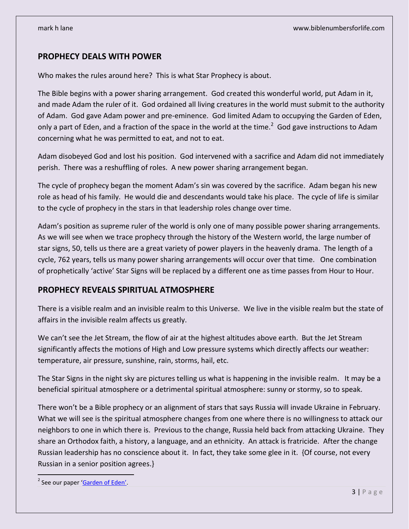## **PROPHECY DEALS WITH POWER**

Who makes the rules around here? This is what Star Prophecy is about.

The Bible begins with a power sharing arrangement. God created this wonderful world, put Adam in it, and made Adam the ruler of it. God ordained all living creatures in the world must submit to the authority of Adam. God gave Adam power and pre-eminence. God limited Adam to occupying the Garden of Eden, only a part of Eden, and a fraction of the space in the world at the time.<sup>2</sup> God gave instructions to Adam concerning what he was permitted to eat, and not to eat.

Adam disobeyed God and lost his position. God intervened with a sacrifice and Adam did not immediately perish. There was a reshuffling of roles. A new power sharing arrangement began.

The cycle of prophecy began the moment Adam's sin was covered by the sacrifice. Adam began his new role as head of his family. He would die and descendants would take his place. The cycle of life is similar to the cycle of prophecy in the stars in that leadership roles change over time.

Adam's position as supreme ruler of the world is only one of many possible power sharing arrangements. As we will see when we trace prophecy through the history of the Western world, the large number of star signs, 50, tells us there are a great variety of power players in the heavenly drama. The length of a cycle, 762 years, tells us many power sharing arrangements will occur over that time. One combination of prophetically 'active' Star Signs will be replaced by a different one as time passes from Hour to Hour.

## **PROPHECY REVEALS SPIRITUAL ATMOSPHERE**

There is a visible realm and an invisible realm to this Universe. We live in the visible realm but the state of affairs in the invisible realm affects us greatly.

We can't see the Jet Stream, the flow of air at the highest altitudes above earth. But the Jet Stream significantly affects the motions of High and Low pressure systems which directly affects our weather: temperature, air pressure, sunshine, rain, storms, hail, etc.

The Star Signs in the night sky are pictures telling us what is happening in the invisible realm. It may be a beneficial spiritual atmosphere or a detrimental spiritual atmosphere: sunny or stormy, so to speak.

There won't be a Bible prophecy or an alignment of stars that says Russia will invade Ukraine in February. What we will see is the spiritual atmosphere changes from one where there is no willingness to attack our neighbors to one in which there is. Previous to the change, Russia held back from attacking Ukraine. They share an Orthodox faith, a history, a language, and an ethnicity. An attack is fratricide. After the change Russian leadership has no conscience about it. In fact, they take some glee in it. {Of course, not every Russian in a senior position agrees.}

 $\overline{a}$ 

<sup>&</sup>lt;sup>2</sup> See our paper '**Garden of Eden'**.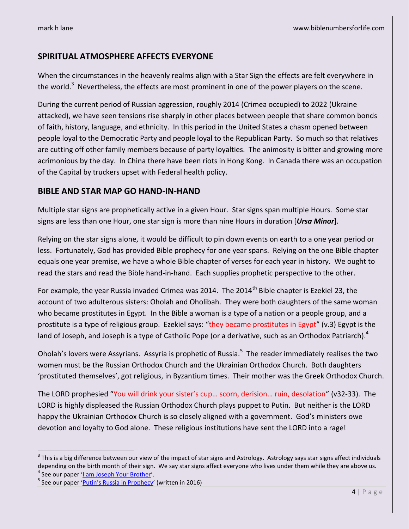## **SPIRITUAL ATMOSPHERE AFFECTS EVERYONE**

When the circumstances in the heavenly realms align with a Star Sign the effects are felt everywhere in the world.<sup>3</sup> Nevertheless, the effects are most prominent in one of the power players on the scene.

During the current period of Russian aggression, roughly 2014 (Crimea occupied) to 2022 (Ukraine attacked), we have seen tensions rise sharply in other places between people that share common bonds of faith, history, language, and ethnicity. In this period in the United States a chasm opened between people loyal to the Democratic Party and people loyal to the Republican Party. So much so that relatives are cutting off other family members because of party loyalties. The animosity is bitter and growing more acrimonious by the day. In China there have been riots in Hong Kong. In Canada there was an occupation of the Capital by truckers upset with Federal health policy.

## **BIBLE AND STAR MAP GO HAND-IN-HAND**

Multiple star signs are prophetically active in a given Hour. Star signs span multiple Hours. Some star signs are less than one Hour, one star sign is more than nine Hours in duration [*Ursa Minor*].

Relying on the star signs alone, it would be difficult to pin down events on earth to a one year period or less. Fortunately, God has provided Bible prophecy for one year spans. Relying on the one Bible chapter equals one year premise, we have a whole Bible chapter of verses for each year in history. We ought to read the stars and read the Bible hand-in-hand. Each supplies prophetic perspective to the other.

For example, the year Russia invaded Crimea was 2014. The 2014<sup>th</sup> Bible chapter is Ezekiel 23, the account of two adulterous sisters: Oholah and Oholibah. They were both daughters of the same woman who became prostitutes in Egypt. In the Bible a woman is a type of a nation or a people group, and a prostitute is a type of religious group. Ezekiel says: "they became prostitutes in Egypt" (v.3) Egypt is the land of Joseph, and Joseph is a type of Catholic Pope (or a derivative, such as an Orthodox Patriarch).<sup>4</sup>

Oholah's lovers were Assyrians. Assyria is prophetic of Russia.<sup>5</sup> The reader immediately realises the two women must be the Russian Orthodox Church and the Ukrainian Orthodox Church. Both daughters 'prostituted themselves', got religious, in Byzantium times. Their mother was the Greek Orthodox Church.

The LORD prophesied "You will drink your sister's cup… scorn, derision… ruin, desolation" (v32-33). The LORD is highly displeased the Russian Orthodox Church plays puppet to Putin. But neither is the LORD happy the Ukrainian Orthodox Church is so closely aligned with a government. God's ministers owe devotion and loyalty to God alone. These religious institutions have sent the LORD into a rage!

 $\overline{a}$ 

 $^3$  This is a big difference between our view of the impact of star signs and Astrology. Astrology says star signs affect individuals depending on the birth month of their sign. We say star signs affect everyone who lives under them while they are above us.

<sup>&</sup>lt;sup>4</sup> See our paper '<u>I am [Joseph Your Brother](https://biblenumbers.files.wordpress.com/2016/04/i-am-joseph-v3.pdf)'</u>.

<sup>&</sup>lt;sup>5</sup> See our paper '<u>Putin's Russia in Prophecy</u>' (written in 2016)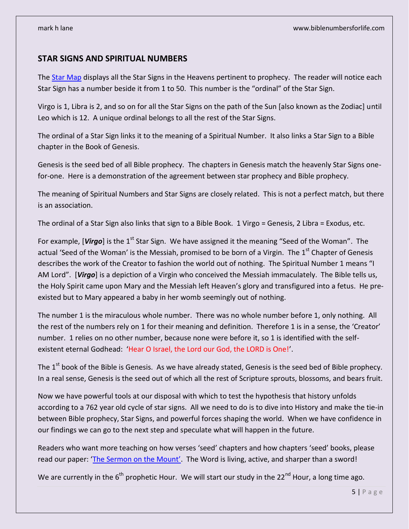## **STAR SIGNS AND SPIRITUAL NUMBERS**

The [Star Map](https://biblenumbers.files.wordpress.com/2022/05/star-map-with-prophetic-dates-1300-ad-to-2062-ad.pdf) displays all the Star Signs in the Heavens pertinent to prophecy. The reader will notice each Star Sign has a number beside it from 1 to 50. This number is the "ordinal" of the Star Sign.

Virgo is 1, Libra is 2, and so on for all the Star Signs on the path of the Sun [also known as the Zodiac] until Leo which is 12. A unique ordinal belongs to all the rest of the Star Signs.

The ordinal of a Star Sign links it to the meaning of a Spiritual Number. It also links a Star Sign to a Bible chapter in the Book of Genesis.

Genesis is the seed bed of all Bible prophecy. The chapters in Genesis match the heavenly Star Signs onefor-one. Here is a demonstration of the agreement between star prophecy and Bible prophecy.

The meaning of Spiritual Numbers and Star Signs are closely related. This is not a perfect match, but there is an association.

The ordinal of a Star Sign also links that sign to a Bible Book. 1 Virgo = Genesis, 2 Libra = Exodus, etc.

For example, [Virgo] is the 1<sup>st</sup> Star Sign. We have assigned it the meaning "Seed of the Woman". The actual 'Seed of the Woman' is the Messiah, promised to be born of a Virgin. The  $1<sup>st</sup>$  Chapter of Genesis describes the work of the Creator to fashion the world out of nothing. The Spiritual Number 1 means "I AM Lord". [*Virgo*] is a depiction of a Virgin who conceived the Messiah immaculately. The Bible tells us, the Holy Spirit came upon Mary and the Messiah left Heaven's glory and transfigured into a fetus. He preexisted but to Mary appeared a baby in her womb seemingly out of nothing.

The number 1 is the miraculous whole number. There was no whole number before 1, only nothing. All the rest of the numbers rely on 1 for their meaning and definition. Therefore 1 is in a sense, the 'Creator' number. 1 relies on no other number, because none were before it, so 1 is identified with the selfexistent eternal Godhead: 'Hear O Israel, the Lord our God, the LORD is One!'.

The 1<sup>st</sup> book of the Bible is Genesis. As we have already stated, Genesis is the seed bed of Bible prophecy. In a real sense, Genesis is the seed out of which all the rest of Scripture sprouts, blossoms, and bears fruit.

Now we have powerful tools at our disposal with which to test the hypothesis that history unfolds according to a 762 year old cycle of star signs. All we need to do is to dive into History and make the tie-in between Bible prophecy, Star Signs, and powerful forces shaping the world. When we have confidence in our findings we can go to the next step and speculate what will happen in the future.

Readers who want more teaching on how verses 'seed' chapters and how chapters 'seed' books, please read our paper: ['The Sermon on the Mount'](https://biblenumbers.files.wordpress.com/2016/09/sermon-on-the-mount.pdf). The Word is living, active, and sharper than a sword!

We are currently in the  $6^{th}$  prophetic Hour. We will start our study in the 22<sup>nd</sup> Hour, a long time ago.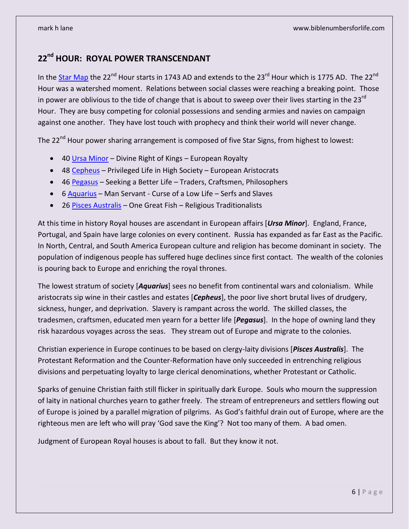# **22 nd HOUR: ROYAL POWER TRANSCENDANT**

In the <u>Star Map</u> the 22<sup>nd</sup> Hour starts in 1743 AD and extends to the 23<sup>rd</sup> Hour which is 1775 AD. The 22<sup>nd</sup> Hour was a watershed moment. Relations between social classes were reaching a breaking point. Those in power are oblivious to the tide of change that is about to sweep over their lives starting in the 23<sup>rd</sup> Hour. They are busy competing for colonial possessions and sending armies and navies on campaign against one another. They have lost touch with prophecy and think their world will never change.

The 22<sup>nd</sup> Hour power sharing arrangement is composed of five Star Signs, from highest to lowest:

- 40 [Ursa Minor](https://biblenumbers.files.wordpress.com/2022/05/40-ursa-minor-stars-v2.pdf) Divine Right of Kings European Royalty
- 48 [Cepheus](https://biblenumbers.files.wordpress.com/2022/05/48-cephus-stars-v2.pdf) Privileged Life in High Society European Aristocrats
- 46 [Pegasus](https://biblenumbers.files.wordpress.com/2022/05/46-pegasus-stars-v2.pdf) Seeking a Better Life Traders, Craftsmen, Philosophers
- $\bullet$  6 [Aquarius](https://biblenumbers.files.wordpress.com/2022/05/6-aquarius-stars-v2.pdf) Man Servant Curse of a Low Life Serfs and Slaves
- 26 [Pisces Australis](https://biblenumbers.files.wordpress.com/2022/05/26-pisces-austrinus-stars-v2.pdf) One Great Fish Religious Traditionalists

At this time in history Royal houses are ascendant in European affairs [*Ursa Minor*]. England, France, Portugal, and Spain have large colonies on every continent. Russia has expanded as far East as the Pacific. In North, Central, and South America European culture and religion has become dominant in society. The population of indigenous people has suffered huge declines since first contact. The wealth of the colonies is pouring back to Europe and enriching the royal thrones.

The lowest stratum of society [*Aquarius*] sees no benefit from continental wars and colonialism. While aristocrats sip wine in their castles and estates [*Cepheus*], the poor live short brutal lives of drudgery, sickness, hunger, and deprivation. Slavery is rampant across the world. The skilled classes, the tradesmen, craftsmen, educated men yearn for a better life [*Pegasus*]. In the hope of owning land they risk hazardous voyages across the seas. They stream out of Europe and migrate to the colonies.

Christian experience in Europe continues to be based on clergy-laity divisions [*Pisces Australis*]. The Protestant Reformation and the Counter-Reformation have only succeeded in entrenching religious divisions and perpetuating loyalty to large clerical denominations, whether Protestant or Catholic.

Sparks of genuine Christian faith still flicker in spiritually dark Europe. Souls who mourn the suppression of laity in national churches yearn to gather freely. The stream of entrepreneurs and settlers flowing out of Europe is joined by a parallel migration of pilgrims. As God's faithful drain out of Europe, where are the righteous men are left who will pray 'God save the King'? Not too many of them. A bad omen.

Judgment of European Royal houses is about to fall. But they know it not.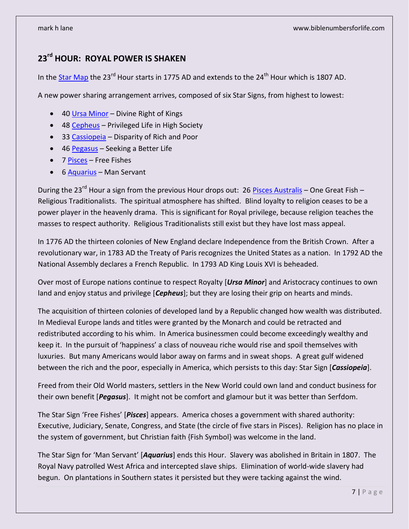# **23rd HOUR: ROYAL POWER IS SHAKEN**

In th[e Star Map](https://biblenumbers.files.wordpress.com/2022/05/star-map-with-prophetic-dates-1300-ad-to-2062-ad.pdf) the 23<sup>rd</sup> Hour starts in 1775 AD and extends to the 24<sup>th</sup> Hour which is 1807 AD.

A new power sharing arrangement arrives, composed of six Star Signs, from highest to lowest:

- 40 [Ursa Minor](https://biblenumbers.files.wordpress.com/2022/05/40-ursa-minor-stars-v2.pdf) Divine Right of Kings
- 48 [Cepheus](https://biblenumbers.files.wordpress.com/2022/05/48-cephus-stars-v2.pdf) Privileged Life in High Society
- 33 [Cassiopeia](https://biblenumbers.files.wordpress.com/2022/05/33-cassiopeia-stars-v2.pdf) Disparity of Rich and Poor
- 46 [Pegasus](https://biblenumbers.files.wordpress.com/2022/05/46-pegasus-stars-v2.pdf) Seeking a Better Life
- 7 [Pisces](https://biblenumbers.files.wordpress.com/2022/05/41-cetus-stars-v2.pdf) Free Fishes
- 6 [Aquarius](https://biblenumbers.files.wordpress.com/2022/05/6-aquarius-stars-v2.pdf) Man Servant

During the 23<sup>rd</sup> Hour a sign from the previous Hour drops out: 26 [Pisces Australis](https://biblenumbers.files.wordpress.com/2022/05/26-pisces-austrinus-stars-v2.pdf) – One Great Fish – Religious Traditionalists. The spiritual atmosphere has shifted. Blind loyalty to religion ceases to be a power player in the heavenly drama. This is significant for Royal privilege, because religion teaches the masses to respect authority. Religious Traditionalists still exist but they have lost mass appeal.

In 1776 AD the thirteen colonies of New England declare Independence from the British Crown. After a revolutionary war, in 1783 AD the Treaty of Paris recognizes the United States as a nation. In 1792 AD the National Assembly declares a French Republic. In 1793 AD King Louis XVI is beheaded.

Over most of Europe nations continue to respect Royalty [*Ursa Minor*] and Aristocracy continues to own land and enjoy status and privilege [*Cepheus*]; but they are losing their grip on hearts and minds.

The acquisition of thirteen colonies of developed land by a Republic changed how wealth was distributed. In Medieval Europe lands and titles were granted by the Monarch and could be retracted and redistributed according to his whim. In America businessmen could become exceedingly wealthy and keep it. In the pursuit of 'happiness' a class of nouveau riche would rise and spoil themselves with luxuries. But many Americans would labor away on farms and in sweat shops. A great gulf widened between the rich and the poor, especially in America, which persists to this day: Star Sign [*Cassiopeia*].

Freed from their Old World masters, settlers in the New World could own land and conduct business for their own benefit [*Pegasus*]. It might not be comfort and glamour but it was better than Serfdom.

The Star Sign 'Free Fishes' [*Pisces*] appears. America choses a government with shared authority: Executive, Judiciary, Senate, Congress, and State (the circle of five stars in Pisces). Religion has no place in the system of government, but Christian faith {Fish Symbol} was welcome in the land.

The Star Sign for 'Man Servant' [*Aquarius*] ends this Hour. Slavery was abolished in Britain in 1807. The Royal Navy patrolled West Africa and intercepted slave ships. Elimination of world-wide slavery had begun. On plantations in Southern states it persisted but they were tacking against the wind.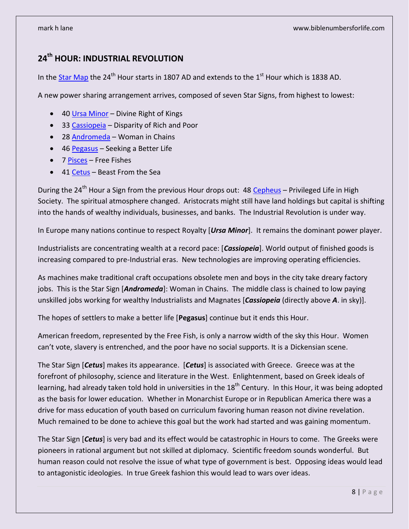# **24th HOUR: INDUSTRIAL REVOLUTION**

In th[e Star Map](https://biblenumbers.files.wordpress.com/2022/05/star-map-with-prophetic-dates-1300-ad-to-2062-ad.pdf) the 24<sup>th</sup> Hour starts in 1807 AD and extends to the 1<sup>st</sup> Hour which is 1838 AD.

A new power sharing arrangement arrives, composed of seven Star Signs, from highest to lowest:

- 40 [Ursa Minor](https://biblenumbers.files.wordpress.com/2022/05/40-ursa-minor-stars-v2.pdf) Divine Right of Kings
- 33 [Cassiopeia](https://biblenumbers.files.wordpress.com/2022/05/33-cassiopeia-stars-v2.pdf) Disparity of Rich and Poor
- 28 [Andromeda](https://biblenumbers.files.wordpress.com/2022/05/24-andromeda-stars-v2.pdf) Woman in Chains
- 46 [Pegasus](https://biblenumbers.files.wordpress.com/2022/05/46-pegasus-stars-v2.pdf) Seeking a Better Life
- 7 [Pisces](https://biblenumbers.files.wordpress.com/2022/05/41-cetus-stars-v2.pdf) Free Fishes
- 41 [Cetus](https://biblenumbers.files.wordpress.com/2022/05/41-cetus-stars-v2.pdf) Beast From the Sea

During the 24<sup>th</sup> Hour a Sign from the previous Hour drops out: 48 [Cepheus](https://biblenumbers.files.wordpress.com/2022/05/48-cephus-stars-v2.pdf) - Privileged Life in High Society. The spiritual atmosphere changed. Aristocrats might still have land holdings but capital is shifting into the hands of wealthy individuals, businesses, and banks. The Industrial Revolution is under way.

In Europe many nations continue to respect Royalty [*Ursa Minor*]. It remains the dominant power player.

Industrialists are concentrating wealth at a record pace: [*Cassiopeia*]. World output of finished goods is increasing compared to pre-Industrial eras. New technologies are improving operating efficiencies.

As machines make traditional craft occupations obsolete men and boys in the city take dreary factory jobs. This is the Star Sign [*Andromeda*]: Woman in Chains. The middle class is chained to low paying unskilled jobs working for wealthy Industrialists and Magnates [*Cassiopeia* (directly above *A*. in sky)].

The hopes of settlers to make a better life [**Pegasus**] continue but it ends this Hour.

American freedom, represented by the Free Fish, is only a narrow width of the sky this Hour. Women can't vote, slavery is entrenched, and the poor have no social supports. It is a Dickensian scene.

The Star Sign [*Cetus*] makes its appearance. [*Cetus*] is associated with Greece. Greece was at the forefront of philosophy, science and literature in the West. Enlightenment, based on Greek ideals of learning, had already taken told hold in universities in the  $18<sup>th</sup>$  Century. In this Hour, it was being adopted as the basis for lower education. Whether in Monarchist Europe or in Republican America there was a drive for mass education of youth based on curriculum favoring human reason not divine revelation. Much remained to be done to achieve this goal but the work had started and was gaining momentum.

The Star Sign [*Cetus*] is very bad and its effect would be catastrophic in Hours to come. The Greeks were pioneers in rational argument but not skilled at diplomacy. Scientific freedom sounds wonderful. But human reason could not resolve the issue of what type of government is best. Opposing ideas would lead to antagonistic ideologies. In true Greek fashion this would lead to wars over ideas.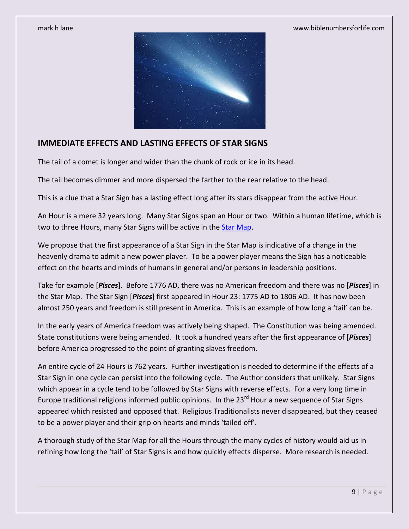

## **IMMEDIATE EFFECTS AND LASTING EFFECTS OF STAR SIGNS**

The tail of a comet is longer and wider than the chunk of rock or ice in its head.

The tail becomes dimmer and more dispersed the farther to the rear relative to the head.

This is a clue that a Star Sign has a lasting effect long after its stars disappear from the active Hour.

An Hour is a mere 32 years long. Many Star Signs span an Hour or two. Within a human lifetime, which is two to three Hours, many Star Signs will be active in the [Star Map.](https://biblenumbers.files.wordpress.com/2022/05/star-map-with-prophetic-dates-1300-ad-to-2062-ad.pdf)

We propose that the first appearance of a Star Sign in the Star Map is indicative of a change in the heavenly drama to admit a new power player. To be a power player means the Sign has a noticeable effect on the hearts and minds of humans in general and/or persons in leadership positions.

Take for example [*Pisces*]. Before 1776 AD, there was no American freedom and there was no [*Pisces*] in the Star Map. The Star Sign [*Pisces*] first appeared in Hour 23: 1775 AD to 1806 AD. It has now been almost 250 years and freedom is still present in America. This is an example of how long a 'tail' can be.

In the early years of America freedom was actively being shaped. The Constitution was being amended. State constitutions were being amended. It took a hundred years after the first appearance of [*Pisces*] before America progressed to the point of granting slaves freedom.

An entire cycle of 24 Hours is 762 years. Further investigation is needed to determine if the effects of a Star Sign in one cycle can persist into the following cycle. The Author considers that unlikely. Star Signs which appear in a cycle tend to be followed by Star Signs with reverse effects. For a very long time in Europe traditional religions informed public opinions. In the 23<sup>rd</sup> Hour a new sequence of Star Signs appeared which resisted and opposed that. Religious Traditionalists never disappeared, but they ceased to be a power player and their grip on hearts and minds 'tailed off'.

A thorough study of the Star Map for all the Hours through the many cycles of history would aid us in refining how long the 'tail' of Star Signs is and how quickly effects disperse. More research is needed.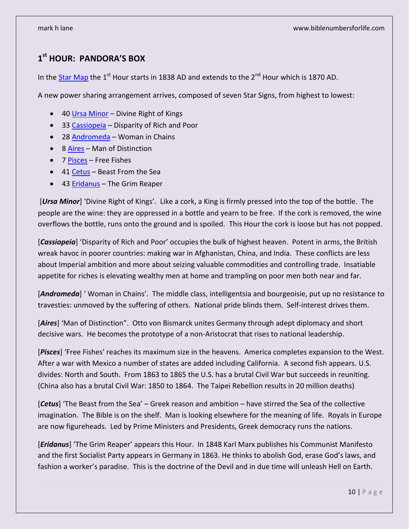# **1 st HOUR: PANDORA'S BOX**

In th[e Star Map](https://biblenumbers.files.wordpress.com/2022/05/star-map-with-prophetic-dates-1300-ad-to-2062-ad.pdf) the 1<sup>st</sup> Hour starts in 1838 AD and extends to the 2<sup>nd</sup> Hour which is 1870 AD.

A new power sharing arrangement arrives, composed of seven Star Signs, from highest to lowest:

- 40 [Ursa Minor](https://biblenumbers.files.wordpress.com/2022/05/40-ursa-minor-stars-v2.pdf) Divine Right of Kings
- 33 [Cassiopeia](https://biblenumbers.files.wordpress.com/2022/05/33-cassiopeia-stars-v2.pdf) Disparity of Rich and Poor
- 28 [Andromeda](https://biblenumbers.files.wordpress.com/2022/05/24-andromeda-stars-v2.pdf) Woman in Chains
- 8 [Aires](https://biblenumbers.files.wordpress.com/2022/06/8-aries-stars-v3.pdf) Man of Distinction
- 7 [Pisces](https://biblenumbers.files.wordpress.com/2022/05/41-cetus-stars-v2.pdf) Free Fishes
- 41 [Cetus](https://biblenumbers.files.wordpress.com/2022/05/41-cetus-stars-v2.pdf) Beast From the Sea
- 43 **Eridanus** The Grim Reaper

[*Ursa Minor*] 'Divine Right of Kings'. Like a cork, a King is firmly pressed into the top of the bottle. The people are the wine: they are oppressed in a bottle and yearn to be free. If the cork is removed, the wine overflows the bottle, runs onto the ground and is spoiled. This Hour the cork is loose but has not popped.

[Cassiopeia] 'Disparity of Rich and Poor' occupies the bulk of highest heaven. Potent in arms, the British wreak havoc in poorer countries: making war in Afghanistan, China, and India. These conflicts are less about Imperial ambition and more about seizing valuable commodities and controlling trade. Insatiable appetite for riches is elevating wealthy men at home and trampling on poor men both near and far.

[**Andromeda**] 'Woman in Chains'. The middle class, intelligentsia and bourgeoisie, put up no resistance to travesties: unmoved by the suffering of others. National pride blinds them. Self-interest drives them.

[*Aires*] 'Man of Distinction". Otto von Bismarck unites Germany through adept diplomacy and short decisive wars. He becomes the prototype of a non-Aristocrat that rises to national leadership.

[*Pisces*] 'Free Fishes' reaches its maximum size in the heavens. America completes expansion to the West. After a war with Mexico a number of states are added including California. A second fish appears. U.S. divides: North and South. From 1863 to 1865 the U.S. has a brutal Civil War but succeeds in reuniting. (China also has a brutal Civil War: 1850 to 1864. The Taipei Rebellion results in 20 million deaths)

[*Cetus*] 'The Beast from the Sea' – Greek reason and ambition – have stirred the Sea of the collective imagination. The Bible is on the shelf. Man is looking elsewhere for the meaning of life. Royals in Europe are now figureheads. Led by Prime Ministers and Presidents, Greek democracy runs the nations.

[*Eridanus*] 'The Grim Reaper' appears this Hour. In 1848 Karl Marx publishes his Communist Manifesto and the first Socialist Party appears in Germany in 1863. He thinks to abolish God, erase God's laws, and fashion a worker's paradise. This is the doctrine of the Devil and in due time will unleash Hell on Earth.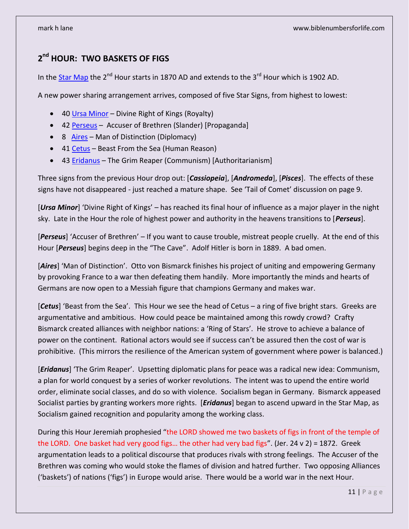# **2 nd HOUR: TWO BASKETS OF FIGS**

In th[e Star Map](https://biblenumbers.files.wordpress.com/2022/05/star-map-with-prophetic-dates-1300-ad-to-2062-ad.pdf) the  $2<sup>nd</sup>$  Hour starts in 1870 AD and extends to the  $3<sup>rd</sup>$  Hour which is 1902 AD.

A new power sharing arrangement arrives, composed of five Star Signs, from highest to lowest:

- 40 [Ursa Minor](https://biblenumbers.files.wordpress.com/2022/05/40-ursa-minor-stars-v2.pdf) Divine Right of Kings (Royalty)
- 42 [Perseus](https://biblenumbers.files.wordpress.com/2022/06/42-perseus-stars-v2.pdf) Accuser of Brethren (Slander) [Propaganda]
- 8 [Aires](https://biblenumbers.files.wordpress.com/2022/06/8-aries-stars-v3.pdf) Man of Distinction (Diplomacy)
- 41 [Cetus](https://biblenumbers.files.wordpress.com/2022/05/41-cetus-stars-v2.pdf) Beast From the Sea (Human Reason)
- 43 [Eridanus](https://biblenumbers.files.wordpress.com/2022/06/43-eridanus-stars-v2.pdf) The Grim Reaper (Communism) [Authoritarianism]

Three signs from the previous Hour drop out: [*Cassiopeia*], [*Andromeda*], [*Pisces*]. The effects of these signs have not disappeared - just reached a mature shape. See 'Tail of Comet' discussion on page 9.

[*Ursa Minor*] 'Divine Right of Kings' – has reached its final hour of influence as a major player in the night sky. Late in the Hour the role of highest power and authority in the heavens transitions to [*Perseus*].

[*Perseus*] 'Accuser of Brethren' – If you want to cause trouble, mistreat people cruelly. At the end of this Hour [*Perseus*] begins deep in the "The Cave". Adolf Hitler is born in 1889. A bad omen.

[*Aires*] 'Man of Distinction'. Otto von Bismarck finishes his project of uniting and empowering Germany by provoking France to a war then defeating them handily. More importantly the minds and hearts of Germans are now open to a Messiah figure that champions Germany and makes war.

[*Cetus*] 'Beast from the Sea'. This Hour we see the head of Cetus – a ring of five bright stars. Greeks are argumentative and ambitious. How could peace be maintained among this rowdy crowd? Crafty Bismarck created alliances with neighbor nations: a 'Ring of Stars'. He strove to achieve a balance of power on the continent. Rational actors would see if success can't be assured then the cost of war is prohibitive. (This mirrors the resilience of the American system of government where power is balanced.)

[*Eridanus*] 'The Grim Reaper'. Upsetting diplomatic plans for peace was a radical new idea: Communism, a plan for world conquest by a series of worker revolutions. The intent was to upend the entire world order, eliminate social classes, and do so with violence. Socialism began in Germany. Bismarck appeased Socialist parties by granting workers more rights. [*Eridanus*] began to ascend upward in the Star Map, as Socialism gained recognition and popularity among the working class.

During this Hour Jeremiah prophesied "the LORD showed me two baskets of figs in front of the temple of the LORD. One basket had very good figs... the other had very bad figs". (Jer. 24 v 2) = 1872. Greek argumentation leads to a political discourse that produces rivals with strong feelings. The Accuser of the Brethren was coming who would stoke the flames of division and hatred further. Two opposing Alliances ('baskets') of nations ('figs') in Europe would arise. There would be a world war in the next Hour.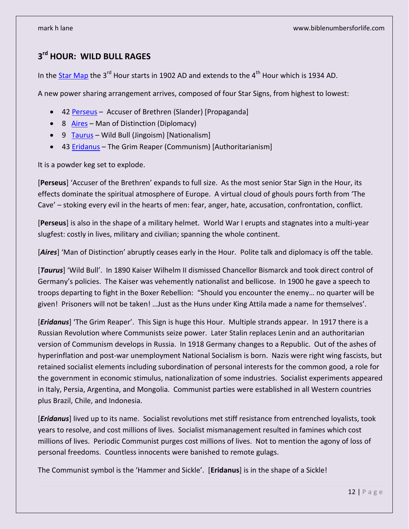# **3 rd HOUR: WILD BULL RAGES**

In th[e Star Map](https://biblenumbers.files.wordpress.com/2022/05/star-map-with-prophetic-dates-1300-ad-to-2062-ad.pdf) the 3<sup>rd</sup> Hour starts in 1902 AD and extends to the 4<sup>th</sup> Hour which is 1934 AD.

A new power sharing arrangement arrives, composed of four Star Signs, from highest to lowest:

- 42 [Perseus](https://biblenumbers.files.wordpress.com/2022/06/42-perseus-stars-v2.pdf) Accuser of Brethren (Slander) [Propaganda]
- 8 [Aires](https://biblenumbers.files.wordpress.com/2022/06/8-aries-stars-v3.pdf) Man of Distinction (Diplomacy)
- 9 [Taurus](https://biblenumbers.files.wordpress.com/2022/06/9-taurus-stars-v3.pdf) Wild Bull (Jingoism) [Nationalism]
- 43 [Eridanus](https://biblenumbers.files.wordpress.com/2022/06/43-eridanus-stars-v2.pdf) The Grim Reaper (Communism) [Authoritarianism]

It is a powder keg set to explode.

[**Perseus**] 'Accuser of the Brethren' expands to full size. As the most senior Star Sign in the Hour, its effects dominate the spiritual atmosphere of Europe. A virtual cloud of ghouls pours forth from 'The Cave' – stoking every evil in the hearts of men: fear, anger, hate, accusation, confrontation, conflict.

[**Perseus**] is also in the shape of a military helmet. World War I erupts and stagnates into a multi-year slugfest: costly in lives, military and civilian; spanning the whole continent.

[*Aires*] 'Man of Distinction' abruptly ceases early in the Hour. Polite talk and diplomacy is off the table.

[*Taurus*] 'Wild Bull'. In 1890 Kaiser Wilhelm II dismissed Chancellor Bismarck and took direct control of Germany's policies. The Kaiser was vehemently nationalist and bellicose. In 1900 he gave a speech to troops departing to fight in the Boxer Rebellion: "Should you encounter the enemy… no quarter will be given! Prisoners will not be taken! ... Just as the Huns under King Attila made a name for themselves'.

[*Eridanus*] 'The Grim Reaper'. This Sign is huge this Hour. Multiple strands appear. In 1917 there is a Russian Revolution where Communists seize power. Later Stalin replaces Lenin and an authoritarian version of Communism develops in Russia. In 1918 Germany changes to a Republic. Out of the ashes of hyperinflation and post-war unemployment National Socialism is born. Nazis were right wing fascists, but retained socialist elements including subordination of personal interests for the common good, a role for the government in economic stimulus, nationalization of some industries. Socialist experiments appeared in Italy, Persia, Argentina, and Mongolia. Communist parties were established in all Western countries plus Brazil, Chile, and Indonesia.

[*Eridanus*] lived up to its name. Socialist revolutions met stiff resistance from entrenched loyalists, took years to resolve, and cost millions of lives. Socialist mismanagement resulted in famines which cost millions of lives. Periodic Communist purges cost millions of lives. Not to mention the agony of loss of personal freedoms. Countless innocents were banished to remote gulags.

The Communist symbol is the 'Hammer and Sickle'. [**Eridanus**] is in the shape of a Sickle!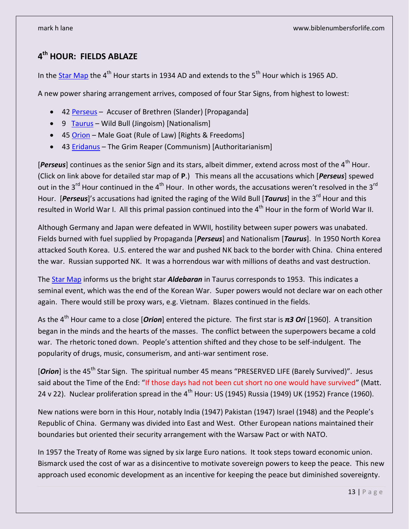# **4 th HOUR: FIELDS ABLAZE**

In th[e Star Map](https://biblenumbers.files.wordpress.com/2022/05/star-map-with-prophetic-dates-1300-ad-to-2062-ad.pdf) the  $4<sup>th</sup>$  Hour starts in 1934 AD and extends to the  $5<sup>th</sup>$  Hour which is 1965 AD.

A new power sharing arrangement arrives, composed of four Star Signs, from highest to lowest:

- 42 [Perseus](https://biblenumbers.files.wordpress.com/2022/06/42-perseus-stars-v2.pdf) Accuser of Brethren (Slander) [Propaganda]
- 9 [Taurus](https://biblenumbers.files.wordpress.com/2022/06/9-taurus-stars-v3.pdf) Wild Bull (Jingoism) [Nationalism]
- 45 [Orion](https://biblenumbers.files.wordpress.com/2022/06/45-orion-stars-v2-1.pdf) Male Goat (Rule of Law) [Rights & Freedoms]
- 43 [Eridanus](https://biblenumbers.files.wordpress.com/2022/06/43-eridanus-stars-v2.pdf) The Grim Reaper (Communism) [Authoritarianism]

[Perseus] continues as the senior Sign and its stars, albeit dimmer, extend across most of the 4<sup>th</sup> Hour. (Click on link above for detailed star map of **P**.) This means all the accusations which [*Perseus*] spewed out in the 3<sup>rd</sup> Hour continued in the 4<sup>th</sup> Hour. In other words, the accusations weren't resolved in the 3<sup>rd</sup> Hour. [**Perseus**]'s accusations had ignited the raging of the Wild Bull [*Taurus*] in the 3<sup>rd</sup> Hour and this resulted in World War I. All this primal passion continued into the 4<sup>th</sup> Hour in the form of World War II.

Although Germany and Japan were defeated in WWII, hostility between super powers was unabated. Fields burned with fuel supplied by Propaganda [*Perseus*] and Nationalism [*Taurus*]. In 1950 North Korea attacked South Korea. U.S. entered the war and pushed NK back to the border with China. China entered the war. Russian supported NK. It was a horrendous war with millions of deaths and vast destruction.

The [Star Map](https://biblenumbers.files.wordpress.com/2022/05/star-map-with-prophetic-dates-1300-ad-to-2062-ad.pdf) informs us the bright star *Aldebaran* in Taurus corresponds to 1953. This indicates a seminal event, which was the end of the Korean War. Super powers would not declare war on each other again. There would still be proxy wars, e.g. Vietnam. Blazes continued in the fields.

As the 4th Hour came to a close [*Orion*] entered the picture. The first star is *π3 Ori* [1960]. A transition began in the minds and the hearts of the masses. The conflict between the superpowers became a cold war. The rhetoric toned down. People's attention shifted and they chose to be self-indulgent. The popularity of drugs, music, consumerism, and anti-war sentiment rose.

[*Orion*] is the 45<sup>th</sup> Star Sign. The spiritual number 45 means "PRESERVED LIFE (Barely Survived)". Jesus said about the Time of the End: "If those days had not been cut short no one would have survived" (Matt. 24 v 22). Nuclear proliferation spread in the  $4<sup>th</sup>$  Hour: US (1945) Russia (1949) UK (1952) France (1960).

New nations were born in this Hour, notably India (1947) Pakistan (1947) Israel (1948) and the People's Republic of China. Germany was divided into East and West. Other European nations maintained their boundaries but oriented their security arrangement with the Warsaw Pact or with NATO.

In 1957 the Treaty of Rome was signed by six large Euro nations. It took steps toward economic union. Bismarck used the cost of war as a disincentive to motivate sovereign powers to keep the peace. This new approach used economic development as an incentive for keeping the peace but diminished sovereignty.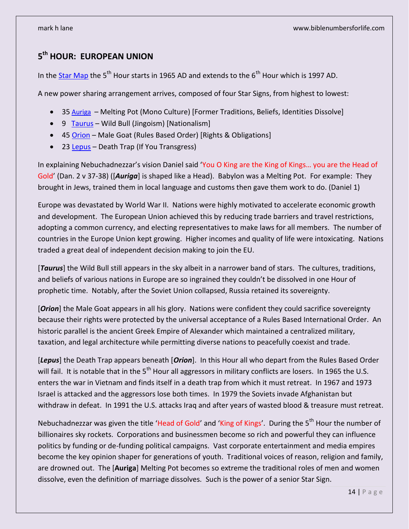# **5 th HOUR: EUROPEAN UNION**

In th[e Star Map](https://biblenumbers.files.wordpress.com/2022/05/star-map-with-prophetic-dates-1300-ad-to-2062-ad.pdf) the 5<sup>th</sup> Hour starts in 1965 AD and extends to the  $6<sup>th</sup>$  Hour which is 1997 AD.

A new power sharing arrangement arrives, composed of four Star Signs, from highest to lowest:

- 35 [Auriga](https://biblenumbers.files.wordpress.com/2022/06/35-auriga-stars-v2.pdf)  Melting Pot (Mono Culture) [Former Traditions, Beliefs, Identities Dissolve]
- 9 [Taurus](https://biblenumbers.files.wordpress.com/2022/06/9-taurus-stars-v3.pdf) Wild Bull (Jingoism) [Nationalism]
- 45 [Orion](https://biblenumbers.files.wordpress.com/2022/06/45-orion-stars-v2-1.pdf) Male Goat (Rules Based Order) [Rights & Obligations]
- 23 [Lepus](https://biblenumbers.files.wordpress.com/2022/05/23-lepus-stars-v2.pdf) Death Trap (If You Transgress)

In explaining Nebuchadnezzar's vision Daniel said 'You O King are the King of Kings… you are the Head of Gold' (Dan. 2 v 37-38) ([*Auriga*] is shaped like a Head). Babylon was a Melting Pot. For example: They brought in Jews, trained them in local language and customs then gave them work to do. (Daniel 1)

Europe was devastated by World War II. Nations were highly motivated to accelerate economic growth and development. The European Union achieved this by reducing trade barriers and travel restrictions, adopting a common currency, and electing representatives to make laws for all members. The number of countries in the Europe Union kept growing. Higher incomes and quality of life were intoxicating. Nations traded a great deal of independent decision making to join the EU.

[*Taurus*] the Wild Bull still appears in the sky albeit in a narrower band of stars. The cultures, traditions, and beliefs of various nations in Europe are so ingrained they couldn't be dissolved in one Hour of prophetic time. Notably, after the Soviet Union collapsed, Russia retained its sovereignty.

[**Orion**] the Male Goat appears in all his glory. Nations were confident they could sacrifice sovereignty because their rights were protected by the universal acceptance of a Rules Based International Order. An historic parallel is the ancient Greek Empire of Alexander which maintained a centralized military, taxation, and legal architecture while permitting diverse nations to peacefully coexist and trade.

[*Lepus*] the Death Trap appears beneath [*Orion*]. In this Hour all who depart from the Rules Based Order will fail. It is notable that in the  $5<sup>th</sup>$  Hour all aggressors in military conflicts are losers. In 1965 the U.S. enters the war in Vietnam and finds itself in a death trap from which it must retreat. In 1967 and 1973 Israel is attacked and the aggressors lose both times. In 1979 the Soviets invade Afghanistan but withdraw in defeat. In 1991 the U.S. attacks Iraq and after years of wasted blood & treasure must retreat.

Nebuchadnezzar was given the title 'Head of Gold' and 'King of Kings'. During the 5<sup>th</sup> Hour the number of billionaires sky rockets. Corporations and businessmen become so rich and powerful they can influence politics by funding or de-funding political campaigns. Vast corporate entertainment and media empires become the key opinion shaper for generations of youth. Traditional voices of reason, religion and family, are drowned out. The [**Auriga**] Melting Pot becomes so extreme the traditional roles of men and women dissolve, even the definition of marriage dissolves. Such is the power of a senior Star Sign.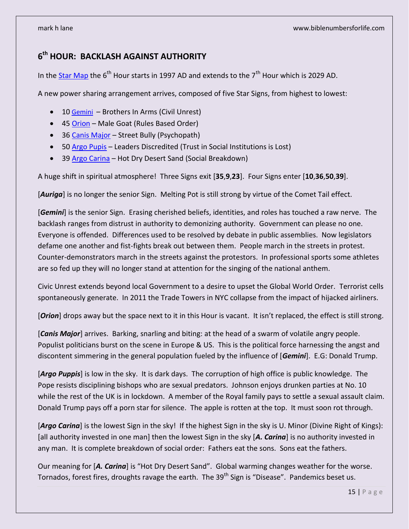# **6 th HOUR: BACKLASH AGAINST AUTHORITY**

In th[e Star Map](https://biblenumbers.files.wordpress.com/2022/05/star-map-with-prophetic-dates-1300-ad-to-2062-ad.pdf) the  $6<sup>th</sup>$  Hour starts in 1997 AD and extends to the  $7<sup>th</sup>$  Hour which is 2029 AD.

A new power sharing arrangement arrives, composed of five Star Signs, from highest to lowest:

- 10 [Gemini](https://biblenumbers.files.wordpress.com/2022/06/10-gemini-stars-v3.pdf)  Brothers In Arms (Civil Unrest)
- 45 [Orion](https://biblenumbers.files.wordpress.com/2022/06/45-orion-stars-v2-1.pdf) Male Goat (Rules Based Order)
- 36 [Canis Major](https://biblenumbers.files.wordpress.com/2022/06/36-canis-major-stars-v2.pdf) Street Bully (Psychopath)
- 50 [Argo Pupis](https://biblenumbers.files.wordpress.com/2022/06/50-argo-puppis-stars-v3.pdf) Leaders Discredited (Trust in Social Institutions is Lost)
- 39 [Argo Carina](https://biblenumbers.files.wordpress.com/2022/06/39-argo-carina-stars-v2.pdf) Hot Dry Desert Sand (Social Breakdown)

A huge shift in spiritual atmosphere! Three Signs exit [**35**,**9**,**23**]. Four Signs enter [**10**,**36**,**50**,**39**].

[Auriga] is no longer the senior Sign. Melting Pot is still strong by virtue of the Comet Tail effect.

[*Gemini*] is the senior Sign. Erasing cherished beliefs, identities, and roles has touched a raw nerve. The backlash ranges from distrust in authority to demonizing authority. Government can please no one. Everyone is offended. Differences used to be resolved by debate in public assemblies. Now legislators defame one another and fist-fights break out between them. People march in the streets in protest. Counter-demonstrators march in the streets against the protestors. In professional sports some athletes are so fed up they will no longer stand at attention for the singing of the national anthem.

Civic Unrest extends beyond local Government to a desire to upset the Global World Order. Terrorist cells spontaneously generate. In 2011 the Trade Towers in NYC collapse from the impact of hijacked airliners.

[**Orion**] drops away but the space next to it in this Hour is vacant. It isn't replaced, the effect is still strong.

[*Canis Major*] arrives. Barking, snarling and biting: at the head of a swarm of volatile angry people. Populist politicians burst on the scene in Europe & US. This is the political force harnessing the angst and discontent simmering in the general population fueled by the influence of [*Gemini*]. E.G: Donald Trump.

[*Argo Puppis*] is low in the sky. It is dark days. The corruption of high office is public knowledge. The Pope resists disciplining bishops who are sexual predators. Johnson enjoys drunken parties at No. 10 while the rest of the UK is in lockdown. A member of the Royal family pays to settle a sexual assault claim. Donald Trump pays off a porn star for silence. The apple is rotten at the top. It must soon rot through.

[Argo Carina] is the lowest Sign in the sky! If the highest Sign in the sky is U. Minor (Divine Right of Kings): [all authority invested in one man] then the lowest Sign in the sky [A. Carina] is no authority invested in any man. It is complete breakdown of social order: Fathers eat the sons. Sons eat the fathers.

Our meaning for [*A. Carina*] is "Hot Dry Desert Sand". Global warming changes weather for the worse. Tornados, forest fires, droughts ravage the earth. The 39<sup>th</sup> Sign is "Disease". Pandemics beset us.